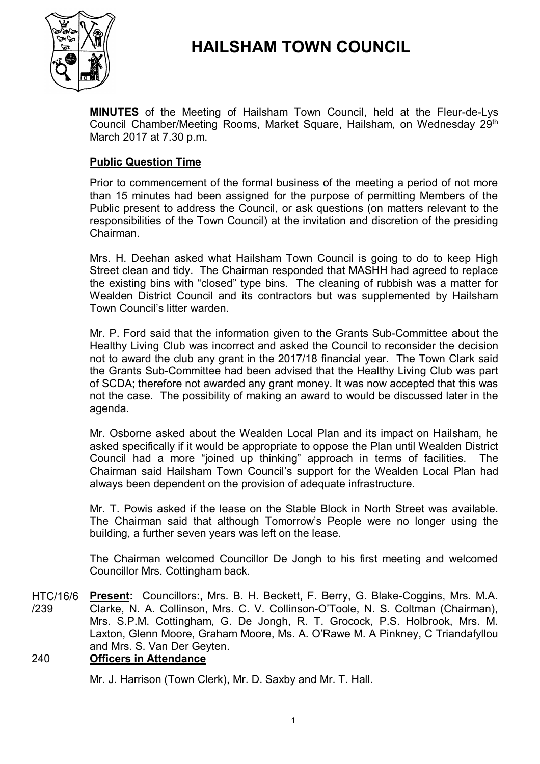



**MINUTES** of the Meeting of Hailsham Town Council, held at the Fleur-de-Lys Council Chamber/Meeting Rooms, Market Square, Hailsham, on Wednesday 29<sup>th</sup> March 2017 at 7.30 p.m.

# **Public Question Time**

Prior to commencement of the formal business of the meeting a period of not more than 15 minutes had been assigned for the purpose of permitting Members of the Public present to address the Council, or ask questions (on matters relevant to the responsibilities of the Town Council) at the invitation and discretion of the presiding Chairman.

Mrs. H. Deehan asked what Hailsham Town Council is going to do to keep High Street clean and tidy. The Chairman responded that MASHH had agreed to replace the existing bins with "closed" type bins. The cleaning of rubbish was a matter for Wealden District Council and its contractors but was supplemented by Hailsham Town Council's litter warden.

Mr. P. Ford said that the information given to the Grants Sub-Committee about the Healthy Living Club was incorrect and asked the Council to reconsider the decision not to award the club any grant in the 2017/18 financial year. The Town Clark said the Grants Sub-Committee had been advised that the Healthy Living Club was part of SCDA; therefore not awarded any grant money. It was now accepted that this was not the case. The possibility of making an award to would be discussed later in the agenda.

Mr. Osborne asked about the Wealden Local Plan and its impact on Hailsham, he asked specifically if it would be appropriate to oppose the Plan until Wealden District Council had a more "joined up thinking" approach in terms of facilities. The Chairman said Hailsham Town Council's support for the Wealden Local Plan had always been dependent on the provision of adequate infrastructure.

Mr. T. Powis asked if the lease on the Stable Block in North Street was available. The Chairman said that although Tomorrow's People were no longer using the building, a further seven years was left on the lease.

The Chairman welcomed Councillor De Jongh to his first meeting and welcomed Councillor Mrs. Cottingham back.

HTC/16/6 /239 **Present:** Councillors:, Mrs. B. H. Beckett, F. Berry, G. Blake-Coggins, Mrs. M.A. Clarke, N. A. Collinson, Mrs. C. V. Collinson-O'Toole, N. S. Coltman (Chairman), Mrs. S.P.M. Cottingham, G. De Jongh, R. T. Grocock, P.S. Holbrook, Mrs. M. Laxton, Glenn Moore, Graham Moore, Ms. A. O'Rawe M. A Pinkney, C Triandafyllou and Mrs. S. Van Der Geyten.

# 240 **Officers in Attendance**

Mr. J. Harrison (Town Clerk), Mr. D. Saxby and Mr. T. Hall.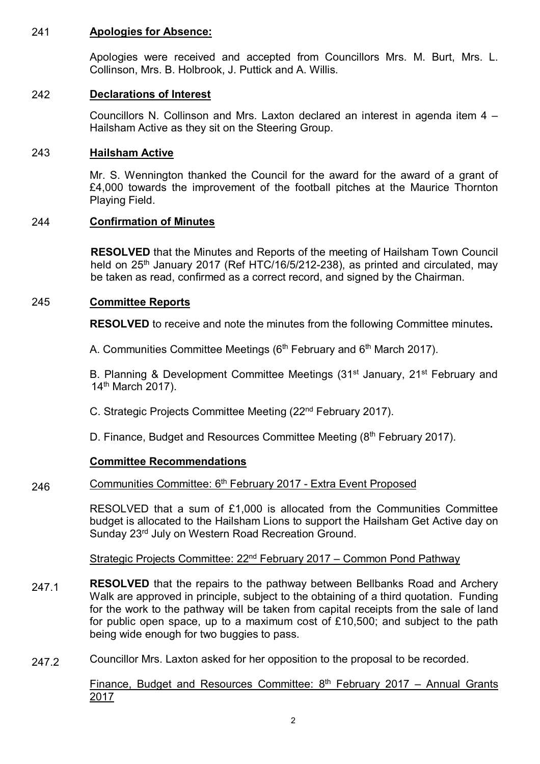## 241 **Apologies for Absence:**

Apologies were received and accepted from Councillors Mrs. M. Burt, Mrs. L. Collinson, Mrs. B. Holbrook, J. Puttick and A. Willis.

## 242 **Declarations of Interest**

Councillors N. Collinson and Mrs. Laxton declared an interest in agenda item 4 – Hailsham Active as they sit on the Steering Group.

## 243 **Hailsham Active**

Mr. S. Wennington thanked the Council for the award for the award of a grant of £4,000 towards the improvement of the football pitches at the Maurice Thornton Playing Field.

# 244 **Confirmation of Minutes**

**RESOLVED** that the Minutes and Reports of the meeting of Hailsham Town Council held on 25<sup>th</sup> January 2017 (Ref HTC/16/5/212-238), as printed and circulated, may be taken as read, confirmed as a correct record, and signed by the Chairman.

# 245 **Committee Reports**

**RESOLVED** to receive and note the minutes from the following Committee minutes**.**

A. Communities Committee Meetings (6<sup>th</sup> February and 6<sup>th</sup> March 2017).

B. Planning & Development Committee Meetings (31<sup>st</sup> January, 21<sup>st</sup> February and 14<sup>th</sup> March 2017).

C. Strategic Projects Committee Meeting (22nd February 2017).

D. Finance, Budget and Resources Committee Meeting (8<sup>th</sup> February 2017).

# **Committee Recommendations**

#### 246 Communities Committee: 6<sup>th</sup> February 2017 - Extra Event Proposed

RESOLVED that a sum of £1,000 is allocated from the Communities Committee budget is allocated to the Hailsham Lions to support the Hailsham Get Active day on Sunday 23rd July on Western Road Recreation Ground.

Strategic Projects Committee: 22nd February 2017 – Common Pond Pathway

- 247.1 **RESOLVED** that the repairs to the pathway between Bellbanks Road and Archery Walk are approved in principle, subject to the obtaining of a third quotation. Funding for the work to the pathway will be taken from capital receipts from the sale of land for public open space, up to a maximum cost of £10,500; and subject to the path being wide enough for two buggies to pass.
- 247.2 Councillor Mrs. Laxton asked for her opposition to the proposal to be recorded.

Finance, Budget and Resources Committee:  $8<sup>th</sup>$  February 2017 – Annual Grants 2017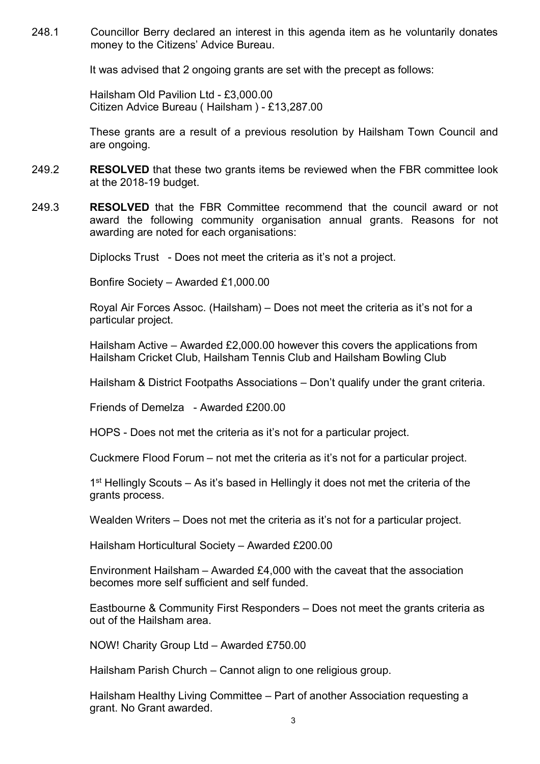248.1 Councillor Berry declared an interest in this agenda item as he voluntarily donates money to the Citizens' Advice Bureau.

It was advised that 2 ongoing grants are set with the precept as follows:

Hailsham Old Pavilion Ltd - £3,000.00 Citizen Advice Bureau ( Hailsham ) - £13,287.00

These grants are a result of a previous resolution by Hailsham Town Council and are ongoing.

- 249.2 **RESOLVED** that these two grants items be reviewed when the FBR committee look at the 2018-19 budget.
- 249.3 **RESOLVED** that the FBR Committee recommend that the council award or not award the following community organisation annual grants. Reasons for not awarding are noted for each organisations:

Diplocks Trust - Does not meet the criteria as it's not a project.

Bonfire Society – Awarded £1,000.00

Royal Air Forces Assoc. (Hailsham) – Does not meet the criteria as it's not for a particular project.

Hailsham Active – Awarded £2,000.00 however this covers the applications from Hailsham Cricket Club, Hailsham Tennis Club and Hailsham Bowling Club

Hailsham & District Footpaths Associations – Don't qualify under the grant criteria.

Friends of Demelza - Awarded £200.00

HOPS - Does not met the criteria as it's not for a particular project.

Cuckmere Flood Forum – not met the criteria as it's not for a particular project.

1<sup>st</sup> Hellingly Scouts – As it's based in Hellingly it does not met the criteria of the grants process.

Wealden Writers – Does not met the criteria as it's not for a particular project.

Hailsham Horticultural Society – Awarded £200.00

Environment Hailsham – Awarded £4,000 with the caveat that the association becomes more self sufficient and self funded.

Eastbourne & Community First Responders – Does not meet the grants criteria as out of the Hailsham area.

NOW! Charity Group Ltd – Awarded £750.00

Hailsham Parish Church – Cannot align to one religious group.

Hailsham Healthy Living Committee – Part of another Association requesting a grant. No Grant awarded.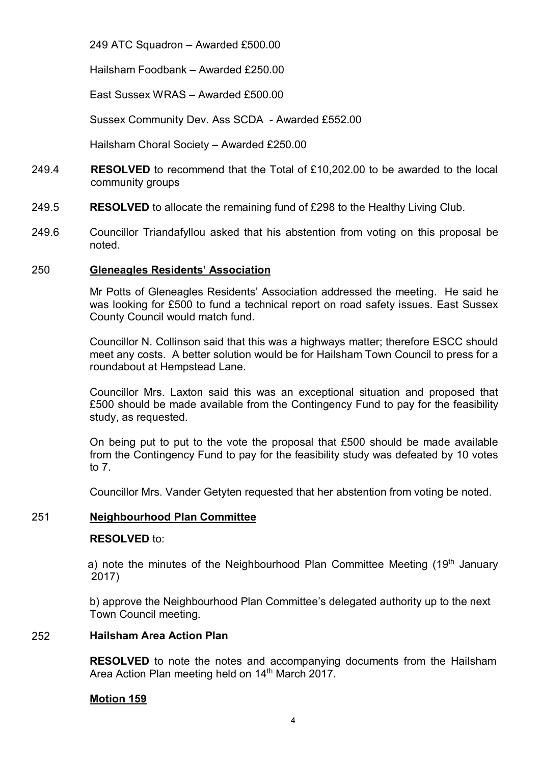249 ATC Squadron – Awarded £500.00

Hailsham Foodbank – Awarded £250.00

East Sussex WRAS – Awarded £500.00

Sussex Community Dev. Ass SCDA - Awarded £552.00

Hailsham Choral Society – Awarded £250.00

- 249.4 **RESOLVED** to recommend that the Total of £10,202.00 to be awarded to the local community groups
- 249.5 **RESOLVED** to allocate the remaining fund of £298 to the Healthy Living Club.
- 249.6 Councillor Triandafyllou asked that his abstention from voting on this proposal be noted.

## 250 **Gleneagles Residents' Association**

Mr Potts of Gleneagles Residents' Association addressed the meeting. He said he was looking for £500 to fund a technical report on road safety issues. East Sussex County Council would match fund.

Councillor N. Collinson said that this was a highways matter; therefore ESCC should meet any costs. A better solution would be for Hailsham Town Council to press for a roundabout at Hempstead Lane.

Councillor Mrs. Laxton said this was an exceptional situation and proposed that £500 should be made available from the Contingency Fund to pay for the feasibility study, as requested.

On being put to put to the vote the proposal that £500 should be made available from the Contingency Fund to pay for the feasibility study was defeated by 10 votes to 7.

Councillor Mrs. Vander Getyten requested that her abstention from voting be noted.

# 251 **Neighbourhood Plan Committee**

### **RESOLVED** to:

a) note the minutes of the Neighbourhood Plan Committee Meeting  $(19<sup>th</sup>$  January 2017)

b) approve the Neighbourhood Plan Committee's delegated authority up to the next Town Council meeting.

### 252 **Hailsham Area Action Plan**

**RESOLVED** to note the notes and accompanying documents from the Hailsham Area Action Plan meeting held on 14<sup>th</sup> March 2017.

# **Motion 159**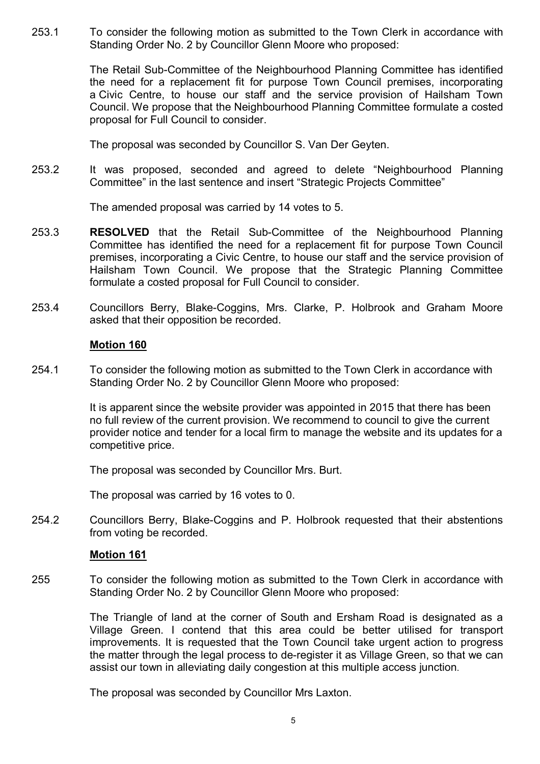253.1 To consider the following motion as submitted to the Town Clerk in accordance with Standing Order No. 2 by Councillor Glenn Moore who proposed:

> The Retail Sub-Committee of the Neighbourhood Planning Committee has identified the need for a replacement fit for purpose Town Council premises, incorporating a Civic Centre, to house our staff and the service provision of Hailsham Town Council. We propose that the Neighbourhood Planning Committee formulate a costed proposal for Full Council to consider.

The proposal was seconded by Councillor S. Van Der Geyten.

253.2 It was proposed, seconded and agreed to delete "Neighbourhood Planning Committee" in the last sentence and insert "Strategic Projects Committee"

The amended proposal was carried by 14 votes to 5.

- 253.3 **RESOLVED** that the Retail Sub-Committee of the Neighbourhood Planning Committee has identified the need for a replacement fit for purpose Town Council premises, incorporating a Civic Centre, to house our staff and the service provision of Hailsham Town Council. We propose that the Strategic Planning Committee formulate a costed proposal for Full Council to consider.
- 253.4 Councillors Berry, Blake-Coggins, Mrs. Clarke, P. Holbrook and Graham Moore asked that their opposition be recorded.

### **Motion 160**

254.1 To consider the following motion as submitted to the Town Clerk in accordance with Standing Order No. 2 by Councillor Glenn Moore who proposed:

> It is apparent since the website provider was appointed in 2015 that there has been no full review of the current provision. We recommend to council to give the current provider notice and tender for a local firm to manage the website and its updates for a competitive price.

The proposal was seconded by Councillor Mrs. Burt.

The proposal was carried by 16 votes to 0.

254.2 Councillors Berry, Blake-Coggins and P. Holbrook requested that their abstentions from voting be recorded.

### **Motion 161**

255 To consider the following motion as submitted to the Town Clerk in accordance with Standing Order No. 2 by Councillor Glenn Moore who proposed:

> The Triangle of land at the corner of South and Ersham Road is designated as a Village Green. I contend that this area could be better utilised for transport improvements. It is requested that the Town Council take urgent action to progress the matter through the legal process to de-register it as Village Green, so that we can assist our town in alleviating daily congestion at this multiple access junction.

The proposal was seconded by Councillor Mrs Laxton.